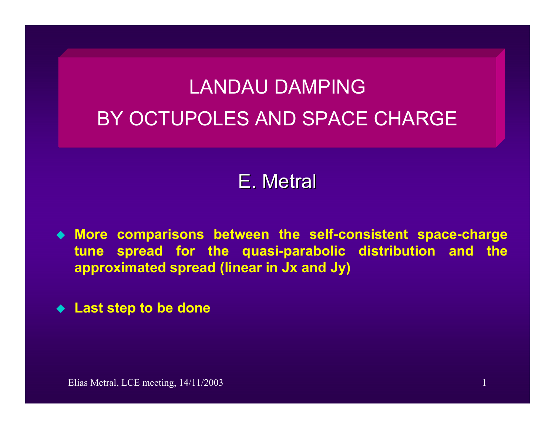# LANDAU DAMPINGBY OCTUPOLES AND SPACE CHARGE

## E. Metral

- **More comparisons between the self-consistent space-charge tune spread for the quasi-parabolic distribution and the approximated spread (linear in Jx and Jy)**
- **Last step to be done**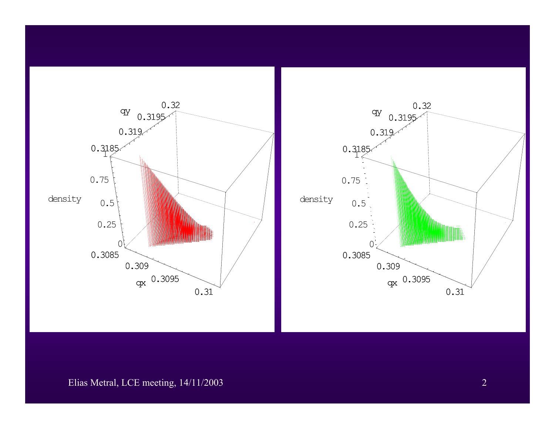

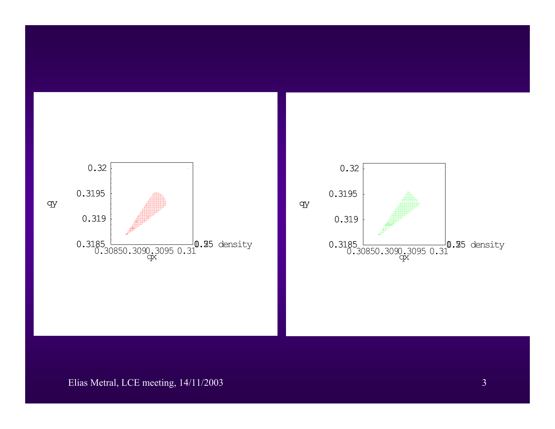

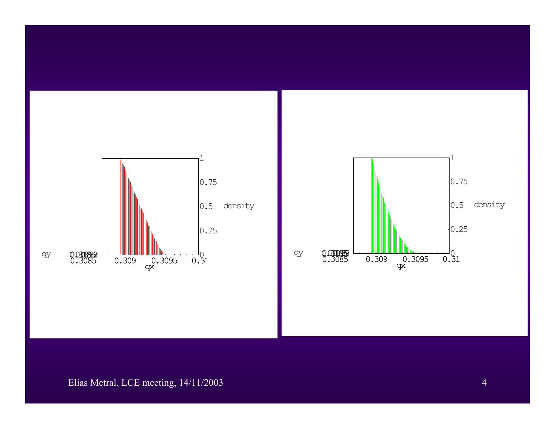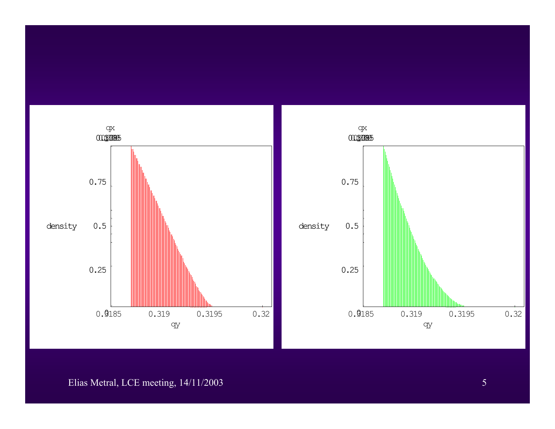